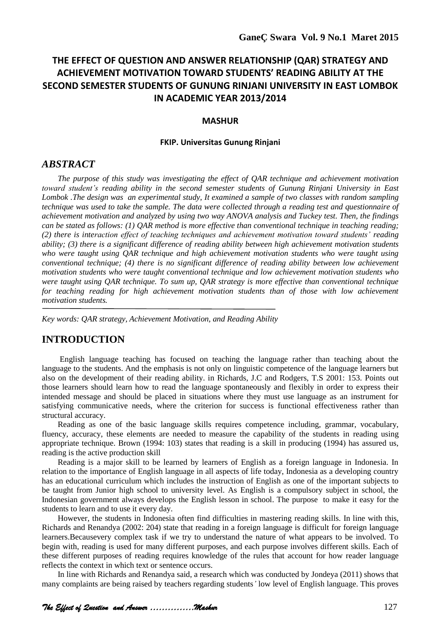# **THE EFFECT OF QUESTION AND ANSWER RELATIONSHIP (QAR) STRATEGY AND ACHIEVEMENT MOTIVATION TOWARD STUDENTS' READING ABILITY AT THE SECOND SEMESTER STUDENTS OF GUNUNG RINJANI UNIVERSITY IN EAST LOMBOK IN ACADEMIC YEAR 2013/2014**

#### **MASHUR**

#### **FKIP. Universitas Gunung Rinjani**

#### *ABSTRACT*

*The purpose of this study was investigating the effect of QAR technique and achievement motivation toward student's reading ability in the second semester students of Gunung Rinjani University in East Lombok .The design was an experimental study, It examined a sample of two classes with random sampling technique was used to take the sample. The data were collected through a reading test and questionnaire of achievement motivation and analyzed by using two way ANOVA analysis and Tuckey test. Then, the findings can be stated as follows: (1) QAR method is more effective than conventional technique in teaching reading; (2) there is interaction effect of teaching techniques and achievement motivation toward students' reading ability; (3) there is a significant difference of reading ability between high achievement motivation students who were taught using QAR technique and high achievement motivation students who were taught using conventional technique; (4) there is no significant difference of reading ability between low achievement motivation students who were taught conventional technique and low achievement motivation students who were taught using QAR technique. To sum up, QAR strategy is more effective than conventional technique*  for teaching reading for high achievement motivation students than of those with low achievement *motivation students.*

*Key words: QAR strategy, Achievement Motivation, and Reading Ability*

# **INTRODUCTION**

English language teaching has focused on teaching the language rather than teaching about the language to the students. And the emphasis is not only on linguistic competence of the language learners but also on the development of their reading ability. in Richards, J.C and Rodgers, T.S 2001: 153. Points out those learners should learn how to read the language spontaneously and flexibly in order to express their intended message and should be placed in situations where they must use language as an instrument for satisfying communicative needs, where the criterion for success is functional effectiveness rather than structural accuracy.

Reading as one of the basic language skills requires competence including, grammar, vocabulary, fluency, accuracy, these elements are needed to measure the capability of the students in reading using appropriate technique. Brown (1994: 103) states that reading is a skill in producing (1994) has assured us, reading is the active production skill

Reading is a major skill to be learned by learners of English as a foreign language in Indonesia. In relation to the importance of English language in all aspects of life today, Indonesia as a developing country has an educational curriculum which includes the instruction of English as one of the important subjects to be taught from Junior high school to university level. As English is a compulsory subject in school, the Indonesian government always develops the English lesson in school. The purpose to make it easy for the students to learn and to use it every day.

However, the students in Indonesia often find difficulties in mastering reading skills. In line with this, Richards and Renandya (2002: 204) state that reading in a foreign language is difficult for foreign language learners.Becausevery complex task if we try to understand the nature of what appears to be involved. To begin with, reading is used for many different purposes, and each purpose involves different skills. Each of these different purposes of reading requires knowledge of the rules that account for how reader language reflects the context in which text or sentence occurs.

In line with Richards and Renandya said, a research which was conducted by Jondeya (2011) shows that many complaints are being raised by teachers regarding students*'* low level of English language. This proves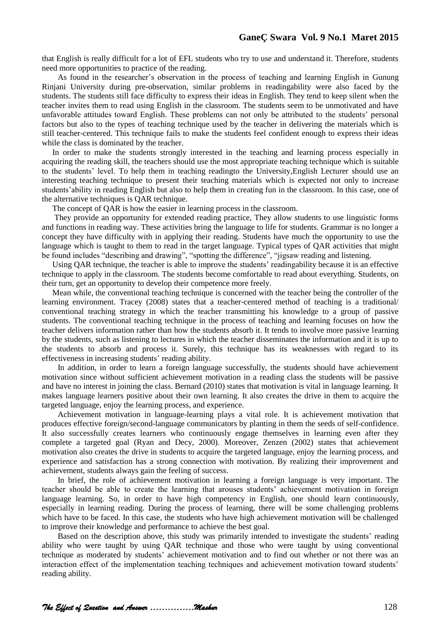that English is really difficult for a lot of EFL students who try to use and understand it. Therefore, students need more opportunities to practice of the reading.

As found in the researcher"s observation in the process of teaching and learning English in Gunung Rinjani University during pre-observation, similar problems in readingability were also faced by the students. The students still face difficulty to express their ideas in English. They tend to keep silent when the teacher invites them to read using English in the classroom. The students seem to be unmotivated and have unfavorable attitudes toward English. These problems can not only be attributed to the students" personal factors but also to the types of teaching technique used by the teacher in delivering the materials which is still teacher-centered. This technique fails to make the students feel confident enough to express their ideas while the class is dominated by the teacher.

In order to make the students strongly interested in the teaching and learning process especially in acquiring the reading skill, the teachers should use the most appropriate teaching technique which is suitable to the students" level. To help them in teaching readingto the University,English Lecturer should use an interesting teaching technique to present their teaching materials which is expected not only to increase students' ability in reading English but also to help them in creating fun in the classroom. In this case, one of the alternative techniques is QAR technique.

The concept of QAR is how the easier in learning process in the classroom.

They provide an opportunity for extended reading practice, They allow students to use linguistic forms and functions in reading way. These activities bring the language to life for students. Grammar is no longer a concept they have difficulty with in applying their reading. Students have much the opportunity to use the language which is taught to them to read in the target language. Typical types of QAR activities that might be found includes "describing and drawing", "spotting the difference", "jigsaw reading and listening.

Using QAR technique, the teacher is able to improve the students" readingability because it is an effective technique to apply in the classroom. The students become comfortable to read about everything. Students, on their turn, get an opportunity to develop their competence more freely.

Mean while, the conventional teaching technique is concerned with the teacher being the controller of the learning environment. Tracey (2008) states that a teacher-centered method of teaching is a traditional/ conventional teaching strategy in which the teacher transmitting his knowledge to a group of passive students. The conventional teaching technique in the process of teaching and learning focuses on how the teacher delivers information rather than how the students absorb it. It tends to involve more passive learning by the students, such as listening to lectures in which the teacher disseminates the information and it is up to the students to absorb and process it. Surely, this technique has its weaknesses with regard to its effectiveness in increasing students' reading ability.

In addition, in order to learn a foreign language successfully, the students should have achievement motivation since without sufficient achievement motivation in a reading class the students will be passive and have no interest in joining the class. Bernard (2010) states that motivation is vital in language learning. It makes language learners positive about their own learning. It also creates the drive in them to acquire the targeted language, enjoy the learning process, and experience.

Achievement motivation in language-learning plays a vital role. It is achievement motivation that produces effective foreign/second-language communicators by planting in them the seeds of self-confidence. It also successfully creates learners who continuously engage themselves in learning even after they complete a targeted goal (Ryan and Decy, 2000). Moreover, Zenzen (2002) states that achievement motivation also creates the drive in students to acquire the targeted language, enjoy the learning process, and experience and satisfaction has a strong connection with motivation. By realizing their improvement and achievement, students always gain the feeling of success.

In brief, the role of achievement motivation in learning a foreign language is very important. The teacher should be able to create the learning that arouses students" achievement motivation in foreign language learning. So, in order to have high competency in English, one should learn continuously, especially in learning reading. During the process of learning, there will be some challenging problems which have to be faced. In this case, the students who have high achievement motivation will be challenged to improve their knowledge and performance to achieve the best goal.

Based on the description above, this study was primarily intended to investigate the students' reading ability who were taught by using QAR technique and those who were taught by using conventional technique as moderated by students" achievement motivation and to find out whether or not there was an interaction effect of the implementation teaching techniques and achievement motivation toward students" reading ability.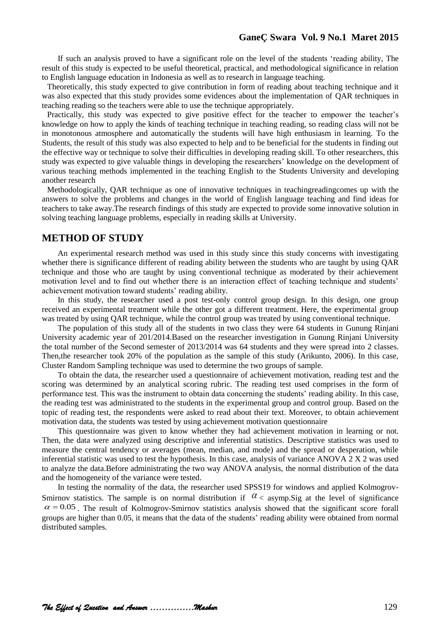If such an analysis proved to have a significant role on the level of the students "reading ability, The result of this study is expected to be useful theoretical, practical, and methodological significance in relation to English language education in Indonesia as well as to research in language teaching.

Theoretically, this study expected to give contribution in form of reading about teaching technique and it was also expected that this study provides some evidences about the implementation of QAR techniques in teaching reading so the teachers were able to use the technique appropriately.

Practically, this study was expected to give positive effect for the teacher to empower the teacher's knowledge on how to apply the kinds of teaching technique in teaching reading, so reading class will not be in monotonous atmosphere and automatically the students will have high enthusiasm in learning. To the Students, the result of this study was also expected to help and to be beneficial for the students in finding out the effective way or technique to solve their difficulties in developing reading skill. To other researchers, this study was expected to give valuable things in developing the researchers" knowledge on the development of various teaching methods implemented in the teaching English to the Students University and developing another research

Methodologically, QAR technique as one of innovative techniques in teachingreadingcomes up with the answers to solve the problems and changes in the world of English language teaching and find ideas for teachers to take away.The research findings of this study are expected to provide some innovative solution in solving teaching language problems, especially in reading skills at University.

# **METHOD OF STUDY**

An experimental research method was used in this study since this study concerns with investigating whether there is significance different of reading ability between the students who are taught by using QAR technique and those who are taught by using conventional technique as moderated by their achievement motivation level and to find out whether there is an interaction effect of teaching technique and students' achievement motivation toward students' reading ability.

In this study, the researcher used a post test-only control group design. In this design, one group received an experimental treatment while the other got a different treatment. Here, the experimental group was treated by using QAR technique, while the control group was treated by using conventional technique.

The population of this study all of the students in two class they were 64 students in Gunung Rinjani University academic year of 201/2014.Based on the researcher investigation in Gunung Rinjani University the total number of the Second semester of 2013/2014 was 64 students and they were spread into 2 classes. Then,the researcher took 20% of the population as the sample of this study (Arikunto, 2006). In this case, Cluster Random Sampling technique was used to determine the two groups of sample.

To obtain the data, the researcher used a questionnaire of achievement motivation, reading test and the scoring was determined by an analytical scoring rubric. The reading test used comprises in the form of performance test. This was the instrument to obtain data concerning the students" reading ability. In this case, the reading test was administrated to the students in the experimental group and control group. Based on the topic of reading test, the respondents were asked to read about their text. Moreover, to obtain achievement motivation data, the students was tested by using achievement motivation questionnaire

This questionnaire was given to know whether they had achievement motivation in learning or not. Then, the data were analyzed using descriptive and inferential statistics. Descriptive statistics was used to measure the central tendency or averages (mean, median, and mode) and the spread or desperation, while inferential statistic was used to test the hypothesis. In this case, analysis of variance ANOVA 2 X 2 was used to analyze the data.Before administrating the two way ANOVA analysis, the normal distribution of the data and the homogeneity of the variance were tested.

In testing the normality of the data, the researcher used SPSS19 for windows and applied Kolmogrov-Smirnov statistics. The sample is on normal distribution if  $\alpha$  < asymp. Sig at the level of significance  $\alpha$  = 0.05. The result of Kolmogrov-Smirnov statistics analysis showed that the significant score forall groups are higher than 0.05, it means that the data of the students" reading ability were obtained from normal distributed samples.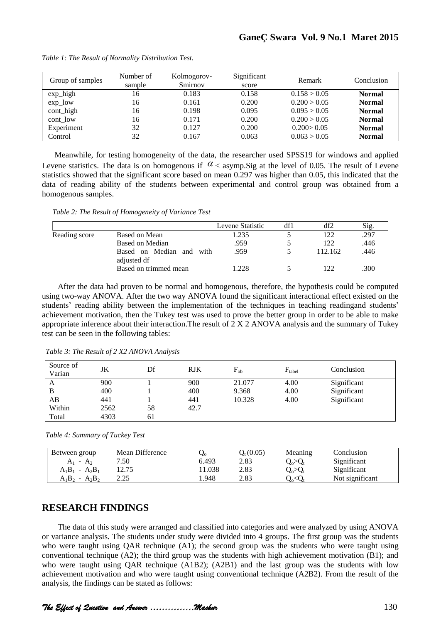| Group of samples    | Number of<br>sample | Kolmogorov-<br>Smirnov | Significant<br>score | Remark       | Conclusion    |
|---------------------|---------------------|------------------------|----------------------|--------------|---------------|
| $exp_{\text{high}}$ | 16                  | 0.183                  | 0.158                | 0.158 > 0.05 | <b>Normal</b> |
| $exp_low$           | 16                  | 0.161                  | 0.200                | 0.200 > 0.05 | <b>Normal</b> |
| cont_high           | 16                  | 0.198                  | 0.095                | 0.095 > 0.05 | <b>Normal</b> |
| $\text{cont\_low}$  | 16                  | 0.171                  | 0.200                | 0.200 > 0.05 | <b>Normal</b> |
| Experiment          | 32                  | 0.127                  | 0.200                | 0.200 > 0.05 | <b>Normal</b> |
| Control             | 32                  | 0.167                  | 0.063                | 0.063 > 0.05 | <b>Normal</b> |

*Table 1: The Result of Normality Distribution Test.*

Meanwhile, for testing homogeneity of the data, the researcher used SPSS19 for windows and applied Levene statistics. The data is on homogenous if  $\alpha$  < asymp. Sig at the level of 0.05. The result of Levene statistics showed that the significant score based on mean 0.297 was higher than 0.05, this indicated that the data of reading ability of the students between experimental and control group was obtained from a homogenous samples.

*Table 2: The Result of Homogeneity of Variance Test*

|               |                                            | Levene Statistic | df1 | df2     | Sig. |
|---------------|--------------------------------------------|------------------|-----|---------|------|
| Reading score | Based on Mean                              | .235             |     | 122     | .297 |
|               | Based on Median                            | .959             |     | 122     | .446 |
|               | Based on Median and<br>with<br>adjusted df | .959             |     | 112.162 | .446 |
|               | Based on trimmed mean                      | .228             |     | 122     | .300 |

After the data had proven to be normal and homogenous, therefore, the hypothesis could be computed using two-way ANOVA. After the two way ANOVA found the significant interactional effect existed on the students' reading ability between the implementation of the techniques in teaching readingand students' achievement motivation, then the Tukey test was used to prove the better group in order to be able to make appropriate inference about their interaction. The result of  $2 \times 2$  ANOVA analysis and the summary of Tukey test can be seen in the following tables:

| Source of<br>Varian | JK   | Df | <b>RJK</b> | $F_{ob}$ | $F_{\text{table}}$ | Conclusion  |
|---------------------|------|----|------------|----------|--------------------|-------------|
| A                   | 900  |    | 900        | 21.077   | 4.00               | Significant |
| B                   | 400  |    | 400        | 9.368    | 4.00               | Significant |
| AΒ                  | 441  |    | 441        | 10.328   | 4.00               | Significant |
| Within              | 2562 | 58 | 42.7       |          |                    |             |
| Total               | 4303 | 61 |            |          |                    |             |

 *Table 3: The Result of 2 X2 ANOVA Analysis*

 *Table 4: Summary of Tuckey Test*

| Between group          | Mean Difference | ∨∘    | $O_{\rm t}(0.05)$ | Meaning                                                 | Conclusion      |
|------------------------|-----------------|-------|-------------------|---------------------------------------------------------|-----------------|
| $A_1 - A_2$            | 7.50            | 6.493 | 2.83              | $\mathrm{Q}_{\mathrm{o}}\!\!>\!\mathrm{Q}_{\mathrm{t}}$ | Significant     |
| $A_1B_1 - A_2B_1$      | 12.75           | 1.038 | 2.83              | $Q_{\rm o}$ > $Q_{\rm t}$                               | Significant     |
| $- A_2B_2$<br>$A_1B_2$ | າ າ<<br>ل کے وک | . 948 | 2.83              | $\mathrm{Q}_\mathrm{o}\!\!<\!\!\mathrm{Q}$              | Not significant |

# **RESEARCH FINDINGS**

The data of this study were arranged and classified into categories and were analyzed by using ANOVA or variance analysis. The students under study were divided into 4 groups. The first group was the students who were taught using QAR technique (A1); the second group was the students who were taught using conventional technique (A2); the third group was the students with high achievement motivation (B1); and who were taught using OAR technique (A1B2); (A2B1) and the last group was the students with low achievement motivation and who were taught using conventional technique (A2B2). From the result of the Levene statistics. The data is on homogenous if  $\alpha$ <br>statistics showed that the significant score based on<br>data of reading ability of the students between a<br>homogenous samples.<br>Table 2: The Result of Homogeneity of Varian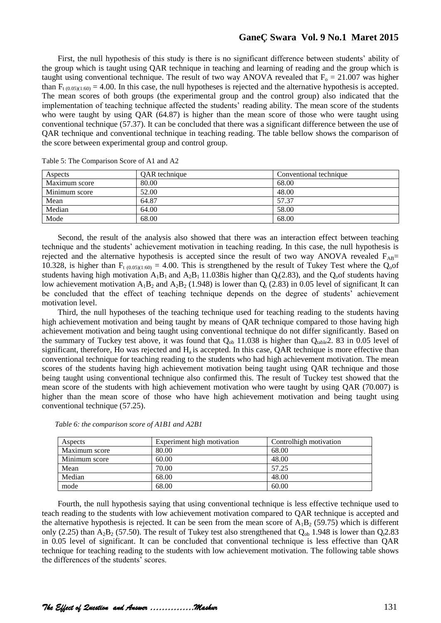### **GaneÇ Swara Vol. 9 No.1 Maret 2015**

First, the null hypothesis of this study is there is no significant difference between students' ability of the group which is taught using QAR technique in teaching and learning of reading and the group which is taught using conventional technique. The result of two way ANOVA revealed that  $F_0 = 21.007$  was higher than  $F_{t(0.05)(1:60)} = 4.00$ . In this case, the null hypotheses is rejected and the alternative hypothesis is accepted. The mean scores of both groups (the experimental group and the control group) also indicated that the implementation of teaching technique affected the students" reading ability. The mean score of the students who were taught by using QAR (64.87) is higher than the mean score of those who were taught using conventional technique (57.37). It can be concluded that there was a significant difference between the use of QAR technique and conventional technique in teaching reading. The table bellow shows the comparison of the score between experimental group and control group.

| Aspects       | OAR technique | Conventional technique |
|---------------|---------------|------------------------|
| Maximum score | 80.00         | 68.00                  |
| Minimum score | 52.00         | 48.00                  |
| Mean          | 64.87         | 57.37                  |
| Median        | 64.00         | 58.00                  |
| Mode          | 68.00         | 68.00                  |

Table 5: The Comparison Score of A1 and A2

Second, the result of the analysis also showed that there was an interaction effect between teaching technique and the students" achievement motivation in teaching reading. In this case, the null hypothesis is rejected and the alternative hypothesis is accepted since the result of two way ANOVA revealed  $F_{AB}$ = 10.328, is higher than  $F_{t(0.05)(1:60)} = 4.00$ . This is strengthened by the result of Tukey Test where the Q<sub>o</sub>of students having high motivation  $A_1B_1$  and  $A_2B_1$  11.038is higher than  $Q_1(2.83)$ , and the  $Q_0$  students having low achievement motivation  $A_1B_2$  and  $A_2B_2$  (1.948) is lower than  $Q_t$  (2.83) in 0.05 level of significant. It can be concluded that the effect of teaching technique depends on the degree of students' achievement motivation level.

Third, the null hypotheses of the teaching technique used for teaching reading to the students having high achievement motivation and being taught by means of QAR technique compared to those having high achievement motivation and being taught using conventional technique do not differ significantly. Based on the summary of Tuckey test above, it was found that  $Q_{ob}$  11.038 is higher than  $Q_{table}$ 2. 83 in 0.05 level of significant, therefore, Ho was rejected and H<sub>a</sub> is accepted. In this case, QAR technique is more effective than conventional technique for teaching reading to the students who had high achievement motivation. The mean scores of the students having high achievement motivation being taught using QAR technique and those being taught using conventional technique also confirmed this. The result of Tuckey test showed that the mean score of the students with high achievement motivation who were taught by using QAR (70.007) is higher than the mean score of those who have high achievement motivation and being taught using conventional technique (57.25).

| Aspects       | Experiment high motivation | Control high motivation |
|---------------|----------------------------|-------------------------|
| Maximum score | 80.00                      | 68.00                   |
| Minimum score | 60.00                      | 48.00                   |
| Mean          | 70.00                      | 57.25                   |
| Median        | 68.00                      | 48.00                   |
| mode          | 68.00                      | 60.00                   |

 *Table 6: the comparison score of A1B1 and A2B1* 

Fourth, the null hypothesis saying that using conventional technique is less effective technique used to teach reading to the students with low achievement motivation compared to QAR technique is accepted and the alternative hypothesis is rejected. It can be seen from the mean score of  $A_1B_2$  (59.75) which is different only (2.25) than  $A_2B_2$  (57.50). The result of Tukey test also strengthened that  $Q_{ob}$  1.948 is lower than  $Q_12.83$ in 0.05 level of significant. It can be concluded that conventional technique is less effective than QAR technique for teaching reading to the students with low achievement motivation. The following table shows the differences of the students' scores.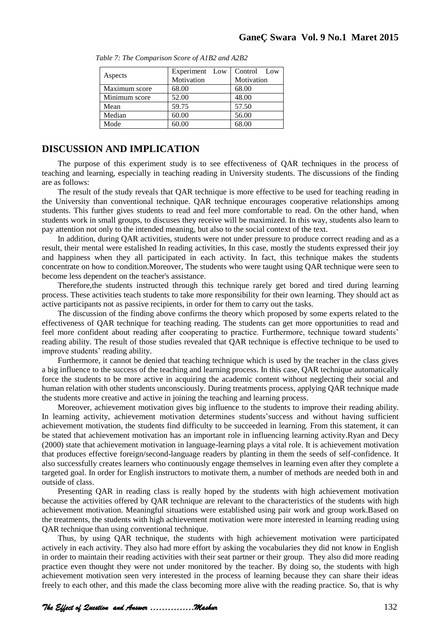| Aspects       | Experiment Low<br>Motivation | Control Low<br>Motivation |
|---------------|------------------------------|---------------------------|
| Maximum score | 68.00                        | 68.00                     |
| Minimum score | 52.00                        | 48.00                     |
| Mean          | 59.75                        | 57.50                     |
| Median        | 60.00                        | 56.00                     |
| Mode          | 60.00                        | 68.00                     |

*Table 7: The Comparison Score of A1B2 and A2B2*

### **DISCUSSION AND IMPLICATION**

The purpose of this experiment study is to see effectiveness of QAR techniques in the process of teaching and learning, especially in teaching reading in University students. The discussions of the finding are as follows:

The result of the study reveals that QAR technique is more effective to be used for teaching reading in the University than conventional technique. QAR technique encourages cooperative relationships among students. This further gives students to read and feel more comfortable to read. On the other hand, when students work in small groups, to discuses they receive will be maximized. In this way, students also learn to pay attention not only to the intended meaning, but also to the social context of the text.

In addition, during QAR activities, students were not under pressure to produce correct reading and as a result, their mental were estalished In reading activities, In this case, mostly the students expressed their joy and happiness when they all participated in each activity. In fact, this technique makes the students concentrate on how to condition.Moreover, The students who were taught using QAR technique were seen to become less dependent on the teacher's assistance.

Therefore,the students instructed through this technique rarely get bored and tired during learning process. These activities teach students to take more responsibility for their own learning. They should act as active participants not as passive recipients, in order for them to carry out the tasks.

The discussion of the finding above confirms the theory which proposed by some experts related to the effectiveness of QAR technique for teaching reading. The students can get more opportunities to read and feel more confident about reading after cooperating to practice. Furthermore, technique toward students' reading ability. The result of those studies revealed that QAR technique is effective technique to be used to improve students' reading ability.

Furthermore, it cannot be denied that teaching technique which is used by the teacher in the class gives a big influence to the success of the teaching and learning process. In this case, QAR technique automatically force the students to be more active in acquiring the academic content without neglecting their social and human relation with other students unconsciously. During treatments process, applying QAR technique made the students more creative and active in joining the teaching and learning process.

Moreover, achievement motivation gives big influence to the students to improve their reading ability. In learning activity, achievement motivation determines students' success and without having sufficient achievement motivation, the students find difficulty to be succeeded in learning. From this statement, it can be stated that achievement motivation has an important role in influencing learning activity.Ryan and Decy (2000) state that achievement motivation in language-learning plays a vital role. It is achievement motivation that produces effective foreign/second-language readers by planting in them the seeds of self-confidence. It also successfully creates learners who continuously engage themselves in learning even after they complete a targeted goal. In order for English instructors to motivate them, a number of methods are needed both in and outside of class.

Presenting QAR in reading class is really hoped by the students with high achievement motivation because the activities offered by QAR technique are relevant to the characteristics of the students with high achievement motivation. Meaningful situations were established using pair work and group work.Based on the treatments, the students with high achievement motivation were more interested in learning reading using QAR technique than using conventional technique.

Thus, by using QAR technique, the students with high achievement motivation were participated actively in each activity. They also had more effort by asking the vocabularies they did not know in English in order to maintain their reading activities with their seat partner or their group. They also did more reading practice even thought they were not under monitored by the teacher. By doing so, the students with high achievement motivation seen very interested in the process of learning because they can share their ideas freely to each other, and this made the class becoming more alive with the reading practice. So, that is why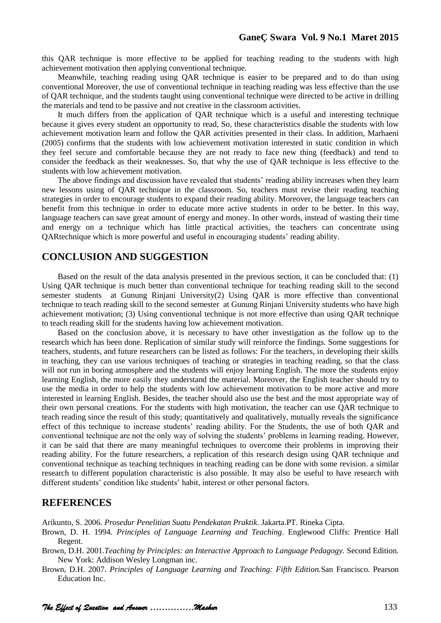this QAR technique is more effective to be applied for teaching reading to the students with high achievement motivation then applying conventional technique.

Meanwhile, teaching reading using QAR technique is easier to be prepared and to do than using conventional Moreover, the use of conventional technique in teaching reading was less effective than the use of QAR technique, and the students taught using conventional technique were directed to be active in drilling the materials and tend to be passive and not creative in the classroom activities.

It much differs from the application of QAR technique which is a useful and interesting technique because it gives every student an opportunity to read, So, these characteristics disable the students with low achievement motivation learn and follow the QAR activities presented in their class. In addition, Marhaeni (2005) confirms that the students with low achievement motivation interested in static condition in which they feel secure and comfortable because they are not ready to face new thing (feedback) and tend to consider the feedback as their weaknesses. So, that why the use of QAR technique is less effective to the students with low achievement motivation.

The above findings and discussion have revealed that students' reading ability increases when they learn new lessons using of QAR technique in the classroom. So, teachers must revise their reading teaching strategies in order to encourage students to expand their reading ability. Moreover, the language teachers can benefit from this technique in order to educate more active students in order to be better. In this way, language teachers can save great amount of energy and money. In other words, instead of wasting their time and energy on a technique which has little practical activities, the teachers can concentrate using QARtechnique which is more powerful and useful in encouraging students" reading ability.

# **CONCLUSION AND SUGGESTION**

Based on the result of the data analysis presented in the previous section, it can be concluded that: (1) Using QAR technique is much better than conventional technique for teaching reading skill to the second semester students at Gunung Rinjani University(2) Using QAR is more effective than conventional technique to teach reading skill to the second semester at Gunung Rinjani University students who have high achievement motivation; (3) Using conventional technique is not more effective than using QAR technique to teach reading skill for the students having low achievement motivation.

Based on the conclusion above, it is necessary to have other investigation as the follow up to the research which has been done. Replication of similar study will reinforce the findings. Some suggestions for teachers, students, and future researchers can be listed as follows: For the teachers, in developing their skills in teaching, they can use various techniques of teaching or strategies in teaching reading, so that the class will not run in boring atmosphere and the students will enjoy learning English. The more the students enjoy learning English, the more easily they understand the material. Moreover, the English teacher should try to use the media in order to help the students with low achievement motivation to be more active and more interested in learning English. Besides, the teacher should also use the best and the most appropriate way of their own personal creations. For the students with high motivation, the teacher can use QAR technique to teach reading since the result of this study; quantitatively and qualitatively, mutually reveals the significance effect of this technique to increase students' reading ability. For the Students, the use of both QAR and conventional technique are not the only way of solving the students' problems in learning reading. However, it can be said that there are many meaningful techniques to overcome their problems in improving their reading ability. For the future researchers, a replication of this research design using QAR technique and conventional technique as teaching techniques in teaching reading can be done with some revision. a similar research to different population characteristic is also possible. It may also be useful to have research with different students' condition like students' habit, interest or other personal factors.

## **REFERENCES**

Arikunto, S. 2006. *Prosedur Penelitian Suatu Pendekatan Praktik*. Jakarta.PT. Rineka Cipta.

Brown, D. H. 1994. *Principles of Language Learning and Teaching*. Englewood Cliffs: Prentice Hall Regent.

Brown, D.H. 2001.*Teaching by Principles: an Interactive Approach to Language Pedagogy.* Second Edition. New York: Addison Wesley Longman inc.

Brown, D.H. 2007. *Principles of Language Learning and Teaching: Fifth Edition.*San Francisco. Pearson Education Inc.